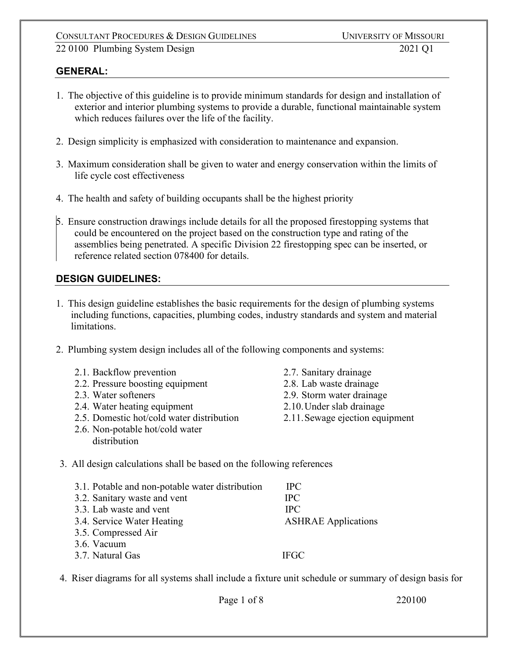### **GENERAL:**

- 1. The objective of this guideline is to provide minimum standards for design and installation of exterior and interior plumbing systems to provide a durable, functional maintainable system which reduces failures over the life of the facility.
- 2. Design simplicity is emphasized with consideration to maintenance and expansion.
- 3. Maximum consideration shall be given to water and energy conservation within the limits of life cycle cost effectiveness
- 4. The health and safety of building occupants shall be the highest priority
- 5. Ensure construction drawings include details for all the proposed firestopping systems that could be encountered on the project based on the construction type and rating of the assemblies being penetrated. A specific Division 22 firestopping spec can be inserted, or reference related section 078400 for details.

## **DESIGN GUIDELINES:**

- 1. This design guideline establishes the basic requirements for the design of plumbing systems including functions, capacities, plumbing codes, industry standards and system and material limitations.
- 2. Plumbing system design includes all of the following components and systems:
	- 2.1. Backflow prevention
	- 2.2. Pressure boosting equipment
	- 2.3. Water softeners
	- 2.4. Water heating equipment
	- 2.5. Domestic hot/cold water distribution
	- 2.6. Non-potable hot/cold water distribution
- 2.7. Sanitary drainage
- 2.8. Lab waste drainage
- 2.9. Storm water drainage
- 2.10.Under slab drainage
- 2.11.Sewage ejection equipment
- 3. All design calculations shall be based on the following references

| 3.1. Potable and non-potable water distribution<br>3.2. Sanitary waste and vent | <b>IPC</b><br><b>IPC</b>   |
|---------------------------------------------------------------------------------|----------------------------|
| 3.3. Lab waste and vent                                                         | <b>TPC</b>                 |
| 3.4. Service Water Heating                                                      | <b>ASHRAE</b> Applications |
| 3.5. Compressed Air                                                             |                            |
| 3.6. Vacuum                                                                     |                            |
| 3.7. Natural Gas                                                                | <b>IFGC</b>                |

4. Riser diagrams for all systems shall include a fixture unit schedule or summary of design basis for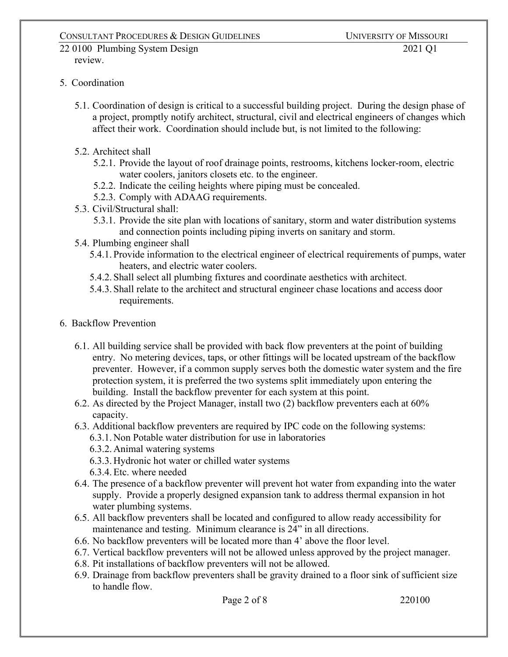#### 22 0100 Plumbing System Design 2021 Q1 review.

### 5. Coordination

- 5.1. Coordination of design is critical to a successful building project. During the design phase of a project, promptly notify architect, structural, civil and electrical engineers of changes which affect their work. Coordination should include but, is not limited to the following:
- 5.2. Architect shall
	- 5.2.1. Provide the layout of roof drainage points, restrooms, kitchens locker-room, electric water coolers, janitors closets etc. to the engineer.
	- 5.2.2. Indicate the ceiling heights where piping must be concealed.
	- 5.2.3. Comply with ADAAG requirements.
- 5.3. Civil/Structural shall:
	- 5.3.1. Provide the site plan with locations of sanitary, storm and water distribution systems and connection points including piping inverts on sanitary and storm.
- 5.4. Plumbing engineer shall
	- 5.4.1. Provide information to the electrical engineer of electrical requirements of pumps, water heaters, and electric water coolers.
	- 5.4.2. Shall select all plumbing fixtures and coordinate aesthetics with architect.
	- 5.4.3. Shall relate to the architect and structural engineer chase locations and access door requirements.
- 6. Backflow Prevention
	- 6.1. All building service shall be provided with back flow preventers at the point of building entry. No metering devices, taps, or other fittings will be located upstream of the backflow preventer. However, if a common supply serves both the domestic water system and the fire protection system, it is preferred the two systems split immediately upon entering the building. Install the backflow preventer for each system at this point.
	- 6.2. As directed by the Project Manager, install two (2) backflow preventers each at 60% capacity.
	- 6.3. Additional backflow preventers are required by IPC code on the following systems: 6.3.1. Non Potable water distribution for use in laboratories
		- 6.3.2. Animal watering systems
		- 6.3.3. Hydronic hot water or chilled water systems
		- 6.3.4.Etc. where needed
	- 6.4. The presence of a backflow preventer will prevent hot water from expanding into the water supply. Provide a properly designed expansion tank to address thermal expansion in hot water plumbing systems.
	- 6.5. All backflow preventers shall be located and configured to allow ready accessibility for maintenance and testing. Minimum clearance is 24" in all directions.
	- 6.6. No backflow preventers will be located more than 4' above the floor level.
	- 6.7. Vertical backflow preventers will not be allowed unless approved by the project manager.
	- 6.8. Pit installations of backflow preventers will not be allowed.
	- 6.9. Drainage from backflow preventers shall be gravity drained to a floor sink of sufficient size to handle flow.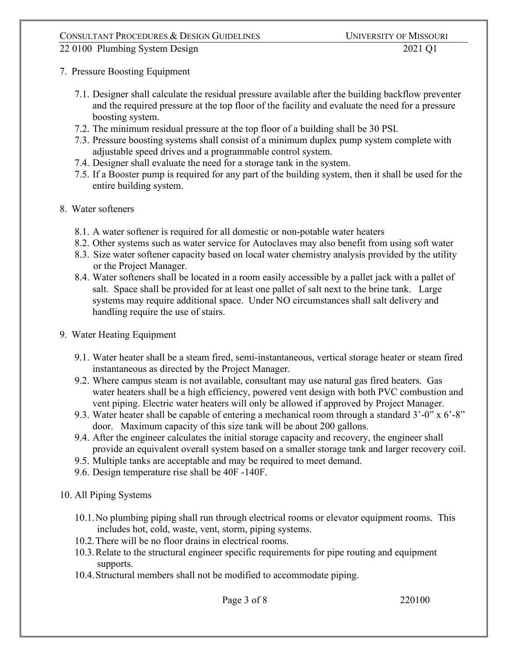- 7. Pressure Boosting Equipment
	- 7.1. Designer shall calculate the residual pressure available after the building backflow preventer and the required pressure at the top floor of the facility and evaluate the need for a pressure boosting system.
	- 7.2. The minimum residual pressure at the top floor of a building shall be 30 PSI.
	- 7.3. Pressure boosting systems shall consist of a minimum duplex pump system complete with adjustable speed drives and a programmable control system.
	- 7.4. Designer shall evaluate the need for a storage tank in the system.
	- 7.5. If a Booster pump is required for any part of the building system, then it shall be used for the entire building system.
- 8. Water softeners
	- 8.1. A water softener is required for all domestic or non-potable water heaters
	- 8.2. Other systems such as water service for Autoclaves may also benefit from using soft water
	- 8.3. Size water softener capacity based on local water chemistry analysis provided by the utility or the Project Manager.
	- 8.4. Water softeners shall be located in a room easily accessible by a pallet jack with a pallet of salt. Space shall be provided for at least one pallet of salt next to the brine tank. Large systems may require additional space. Under NO circumstances shall salt delivery and handling require the use of stairs.
- 9. Water Heating Equipment
	- 9.1. Water heater shall be a steam fired, semi-instantaneous, vertical storage heater or steam fired instantaneous as directed by the Project Manager.
	- 9.2. Where campus steam is not available, consultant may use natural gas fired heaters. Gas water heaters shall be a high efficiency, powered vent design with both PVC combustion and vent piping. Electric water heaters will only be allowed if approved by Project Manager.
	- 9.3. Water heater shall be capable of entering a mechanical room through a standard  $3'-0''$  x  $6'-8''$ door. Maximum capacity of this size tank will be about 200 gallons.
	- 9.4. After the engineer calculates the initial storage capacity and recovery, the engineer shall provide an equivalent overall system based on a smaller storage tank and larger recovery coil.
	- 9.5. Multiple tanks are acceptable and may be required to meet demand.
	- 9.6. Design temperature rise shall be 40F -140F.
- 10. All Piping Systems
	- 10.1.No plumbing piping shall run through electrical rooms or elevator equipment rooms. This includes hot, cold, waste, vent, storm, piping systems.
	- 10.2.There will be no floor drains in electrical rooms.
	- 10.3.Relate to the structural engineer specific requirements for pipe routing and equipment supports.
	- 10.4.Structural members shall not be modified to accommodate piping.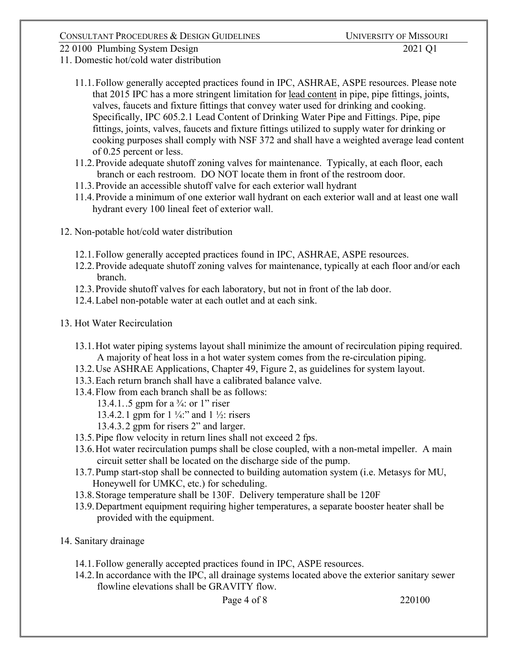11. Domestic hot/cold water distribution

- 11.1.Follow generally accepted practices found in IPC, ASHRAE, ASPE resources. Please note that 2015 IPC has a more stringent limitation for lead content in pipe, pipe fittings, joints, valves, faucets and fixture fittings that convey water used for drinking and cooking. Specifically, IPC 605.2.1 Lead Content of Drinking Water Pipe and Fittings. Pipe, pipe fittings, joints, valves, faucets and fixture fittings utilized to supply water for drinking or cooking purposes shall comply with NSF 372 and shall have a weighted average lead content of 0.25 percent or less.
- 11.2.Provide adequate shutoff zoning valves for maintenance. Typically, at each floor, each branch or each restroom. DO NOT locate them in front of the restroom door.
- 11.3.Provide an accessible shutoff valve for each exterior wall hydrant
- 11.4.Provide a minimum of one exterior wall hydrant on each exterior wall and at least one wall hydrant every 100 lineal feet of exterior wall.
- 12. Non-potable hot/cold water distribution
	- 12.1.Follow generally accepted practices found in IPC, ASHRAE, ASPE resources.
	- 12.2.Provide adequate shutoff zoning valves for maintenance, typically at each floor and/or each branch.
	- 12.3.Provide shutoff valves for each laboratory, but not in front of the lab door.
	- 12.4.Label non-potable water at each outlet and at each sink.
- 13. Hot Water Recirculation
	- 13.1.Hot water piping systems layout shall minimize the amount of recirculation piping required. A majority of heat loss in a hot water system comes from the re-circulation piping.
	- 13.2.Use ASHRAE Applications, Chapter 49, Figure 2, as guidelines for system layout.
	- 13.3.Each return branch shall have a calibrated balance valve.
	- 13.4.Flow from each branch shall be as follows:
		- 13.4.1..5 gpm for a  $\frac{3}{4}$ : or 1" riser
		- 13.4.2.1 gpm for  $1\frac{1}{4}$ : and  $1\frac{1}{2}$ : risers
		- 13.4.3.2 gpm for risers 2" and larger.
	- 13.5.Pipe flow velocity in return lines shall not exceed 2 fps.
	- 13.6.Hot water recirculation pumps shall be close coupled, with a non-metal impeller. A main circuit setter shall be located on the discharge side of the pump.
	- 13.7.Pump start-stop shall be connected to building automation system (i.e. Metasys for MU, Honeywell for UMKC, etc.) for scheduling.
	- 13.8.Storage temperature shall be 130F. Delivery temperature shall be 120F
	- 13.9.Department equipment requiring higher temperatures, a separate booster heater shall be provided with the equipment.
- 14. Sanitary drainage
	- 14.1.Follow generally accepted practices found in IPC, ASPE resources.
	- 14.2.In accordance with the IPC, all drainage systems located above the exterior sanitary sewer flowline elevations shall be GRAVITY flow.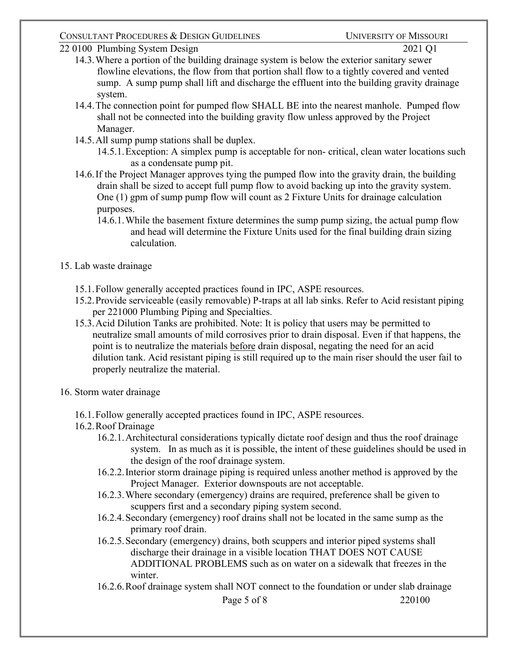### CONSULTANT PROCEDURES & DESIGN GUIDELINES UNIVERSITY OF MISSOURI

22 0100 Plumbing System Design 2021 Q1

- 14.3.Where a portion of the building drainage system is below the exterior sanitary sewer flowline elevations, the flow from that portion shall flow to a tightly covered and vented sump. A sump pump shall lift and discharge the effluent into the building gravity drainage system.
- 14.4.The connection point for pumped flow SHALL BE into the nearest manhole. Pumped flow shall not be connected into the building gravity flow unless approved by the Project Manager.
- 14.5.All sump pump stations shall be duplex.

14.5.1.Exception: A simplex pump is acceptable for non- critical, clean water locations such as a condensate pump pit.

- 14.6.If the Project Manager approves tying the pumped flow into the gravity drain, the building drain shall be sized to accept full pump flow to avoid backing up into the gravity system. One (1) gpm of sump pump flow will count as 2 Fixture Units for drainage calculation purposes.
	- 14.6.1.While the basement fixture determines the sump pump sizing, the actual pump flow and head will determine the Fixture Units used for the final building drain sizing calculation.
- 15. Lab waste drainage
	- 15.1.Follow generally accepted practices found in IPC, ASPE resources.
	- 15.2.Provide serviceable (easily removable) P-traps at all lab sinks. Refer to Acid resistant piping per 221000 Plumbing Piping and Specialties.
	- 15.3.Acid Dilution Tanks are prohibited. Note: It is policy that users may be permitted to neutralize small amounts of mild corrosives prior to drain disposal. Even if that happens, the point is to neutralize the materials before drain disposal, negating the need for an acid dilution tank. Acid resistant piping is still required up to the main riser should the user fail to properly neutralize the material.
- 16. Storm water drainage
	- 16.1.Follow generally accepted practices found in IPC, ASPE resources.
	- 16.2.Roof Drainage
		- 16.2.1.Architectural considerations typically dictate roof design and thus the roof drainage system. In as much as it is possible, the intent of these guidelines should be used in the design of the roof drainage system.
		- 16.2.2.Interior storm drainage piping is required unless another method is approved by the Project Manager. Exterior downspouts are not acceptable.
		- 16.2.3.Where secondary (emergency) drains are required, preference shall be given to scuppers first and a secondary piping system second.
		- 16.2.4.Secondary (emergency) roof drains shall not be located in the same sump as the primary roof drain.
		- 16.2.5.Secondary (emergency) drains, both scuppers and interior piped systems shall discharge their drainage in a visible location THAT DOES NOT CAUSE ADDITIONAL PROBLEMS such as on water on a sidewalk that freezes in the winter.
		- 16.2.6.Roof drainage system shall NOT connect to the foundation or under slab drainage

Page 5 of 8 220100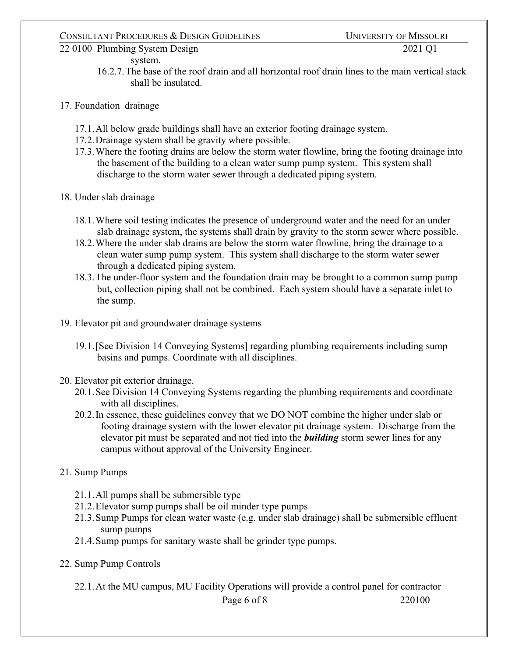#### system.

- 16.2.7.The base of the roof drain and all horizontal roof drain lines to the main vertical stack shall be insulated.
- 17. Foundation drainage
	- 17.1.All below grade buildings shall have an exterior footing drainage system.
	- 17.2.Drainage system shall be gravity where possible.
	- 17.3.Where the footing drains are below the storm water flowline, bring the footing drainage into the basement of the building to a clean water sump pump system. This system shall discharge to the storm water sewer through a dedicated piping system.
- 18. Under slab drainage
	- 18.1.Where soil testing indicates the presence of underground water and the need for an under slab drainage system, the systems shall drain by gravity to the storm sewer where possible.
	- 18.2.Where the under slab drains are below the storm water flowline, bring the drainage to a clean water sump pump system. This system shall discharge to the storm water sewer through a dedicated piping system.
	- 18.3.The under-floor system and the foundation drain may be brought to a common sump pump but, collection piping shall not be combined. Each system should have a separate inlet to the sump.
- 19. Elevator pit and groundwater drainage systems
	- 19.1.[See Division 14 Conveying Systems] regarding plumbing requirements including sump basins and pumps. Coordinate with all disciplines.
- 20. Elevator pit exterior drainage.
	- 20.1.See Division 14 Conveying Systems regarding the plumbing requirements and coordinate with all disciplines.
	- 20.2.In essence, these guidelines convey that we DO NOT combine the higher under slab or footing drainage system with the lower elevator pit drainage system. Discharge from the elevator pit must be separated and not tied into the *building* storm sewer lines for any campus without approval of the University Engineer.
- 21. Sump Pumps
	- 21.1.All pumps shall be submersible type
	- 21.2.Elevator sump pumps shall be oil minder type pumps
	- 21.3.Sump Pumps for clean water waste (e.g. under slab drainage) shall be submersible effluent sump pumps
	- 21.4.Sump pumps for sanitary waste shall be grinder type pumps.
- 22. Sump Pump Controls

22.1.At the MU campus, MU Facility Operations will provide a control panel for contractor

```
Page 6 of 8 220100
```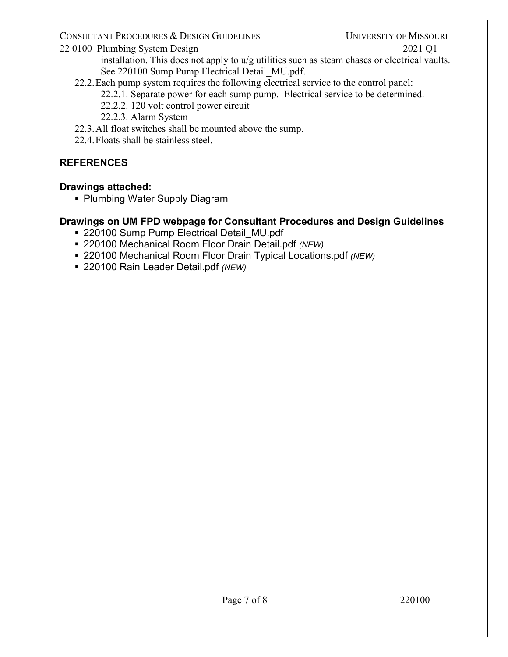### CONSULTANT PROCEDURES & DESIGN GUIDELINES UNIVERSITY OF MISSOURI

## 22 0100 Plumbing System Design 2021 Q1

installation. This does not apply to u/g utilities such as steam chases or electrical vaults. See 220100 Sump Pump Electrical Detail\_MU.pdf.

22.2.Each pump system requires the following electrical service to the control panel:

22.2.1. Separate power for each sump pump. Electrical service to be determined.

- 22.2.2. 120 volt control power circuit
- 22.2.3. Alarm System
- 22.3.All float switches shall be mounted above the sump.
- 22.4.Floats shall be stainless steel.

# **REFERENCES**

## **Drawings attached:**

**Plumbing Water Supply Diagram** 

# **Drawings on UM FPD webpage for Consultant Procedures and Design Guidelines**

- 220100 Sump Pump Electrical Detail MU.pdf
- 220100 Mechanical Room Floor Drain Detail.pdf *(NEW)*
- 220100 Mechanical Room Floor Drain Typical Locations.pdf *(NEW)*
- 220100 Rain Leader Detail.pdf *(NEW)*